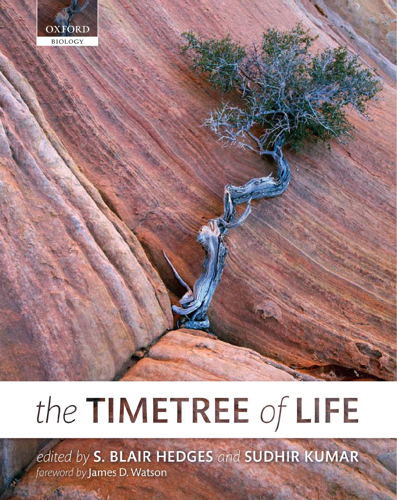

# the TIMETREE of LIFE

edited by S. BLAIR HEDGES and SUDHIR KUMAR foreword by James D. Watson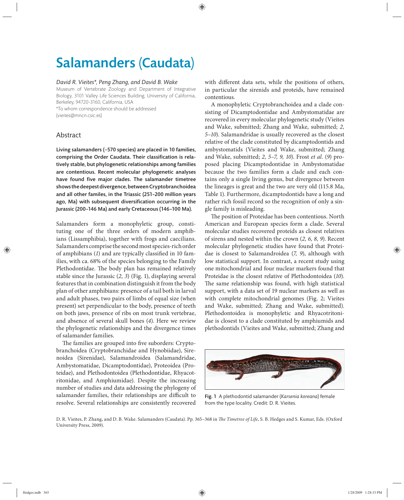## Salamanders (Caudata)

#### *David R. Vieites\*, Peng Zhang, and David B. Wake*

Museum of Vertebrate Zoology and Department of Integrative Biology, 3101 Valley Life Sciences Building, University of California, Berkeley, 94720-3160, California, USA

\*To whom correspondence should be addressed (vieites@mncn.csic.es)

### Abstract

Living salamanders (~570 species) are placed in 10 families, comprising the Order Caudata. Their classification is relatively stable, but phylogenetic relationships among families are contentious. Recent molecular phylogenetic analyses have found five major clades. The salamander timetree shows the deepest divergence, between Cryptobranchoidea and all other familes, in the Triassic (251–200 million years ago, Ma) with subsequent diversification occurring in the Jurassic (200–146 Ma) and early Cretaceous (146–100 Ma).

Salamanders form a monophyletic group, constituting one of the three orders of modern amphibians (Lissamphibia), together with frogs and caecilians. Salamanders comprise the second most species-rich order of amphibians (1) and are typically classified in 10 families, with ca. 68% of the species belonging to the Family Plethodontidae. The body plan has remained relatively stable since the Jurassic (*2, 3*) (Fig. 1), displaying several features that in combination distinguish it from the body plan of other amphibians: presence of a tail both in larval and adult phases, two pairs of limbs of equal size (when present) set perpendicular to the body, presence of teeth on both jaws, presence of ribs on most trunk vertebrae, and absence of several skull bones (4). Here we review the phylogenetic relationships and the divergence times of salamander families.

The families are grouped into five suborders: Cryptobranchoidea (Cryptobranchidae and Hynobiidae), Sirenoidea (Sirenidae), Salamandroidea (Salamandridae, Ambystomatidae, Dicamptodontidae), Proteoidea (Proteidae), and Plethodontoidea (Plethodontidae, Rhyacotritonidae, and Amphiumidae). Despite the increasing number of studies and data addressing the phylogeny of salamander families, their relationships are difficult to resolve. Several relationships are consistently recovered with different data sets, while the positions of others, in particular the sirenids and proteids, have remained contentious.

A monophyletic Cryptobranchoidea and a clade consisting of Dicamptodontidae and Ambystomatidae are recovered in every molecular phylogenetic study (Vieites and Wake, submitted; Zhang and Wake, submitted; 2, *5–10*). Salamandridae is usually recovered as the closest relative of the clade constituted by dicamptodontids and ambystomatids (Vieites and Wake, submitted; Zhang and Wake, submitted; *2, 5–7, 9, 10*). Frost *et al.* (*9*) proposed placing Dicamptodontidae in Ambystomatidae because the two families form a clade and each contains only a single living genus, but divergence between the lineages is great and the two are very old (115.8 Ma, Table 1). Furthermore, dicamptodontids have a long and rather rich fossil record so the recognition of only a single family is misleading.

The position of Proteidae has been contentious. North American and European species form a clade. Several molecular studies recovered proteids as closest relatives of sirens and nested within the crown (*2, 6, 8, 9*). Recent molecular phylogenetic studies have found that Proteidae is closest to Salamandroidea (7, 9), although with low statistical support. In contrast, a recent study using one mitochondrial and four nuclear markers found that Proteidae is the closest relative of Plethodontoidea (*10*). The same relationship was found, with high statistical support, with a data set of 19 nuclear markers as well as with complete mitochondrial genomes (Fig. 2; Vieites and Wake, submitted; Zhang and Wake, submitted). Plethodontoidea is monophyletic and Rhyacotritonidae is closest to a clade constituted by amphiumids and plethodontids (Vieites and Wake, submitted; Zhang and



Fig. 1 A plethodontid salamander (*Karsenia koreana*) female from the type locality. Credit: D. R. Vieites.

D. R. Vieites, P. Zhang, and D. B. Wake. Salamanders (Caudata). Pp. 365-368 in *The Timetree of Life*, S. B. Hedges and S. Kumar, Eds. (Oxford University Press, 2009).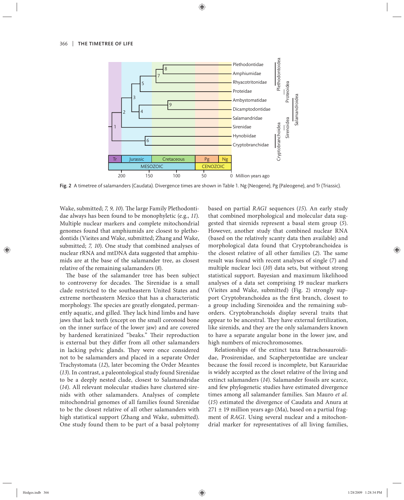

Fig. 2 A timetree of salamanders (Caudata). Divergence times are shown in Table 1. Ng (Neogene), Pg (Paleogene), and Tr (Triassic).

Wake, submitted; 7, 9, 10). The large Family Plethodontidae always has been found to be monophyletic (e.g., *11*). Multiple nuclear markers and complete mitochondrial genomes found that amphiumids are closest to plethodontids (Vieites and Wake, submitted; Zhang and Wake, submitted; *7, 10*). One study that combined analyses of nuclear rRNA and mtDNA data suggested that amphiumids are at the base of the salamander tree, as closest relative of the remaining salamanders (*8*).

The base of the salamander tree has been subject to controversy for decades. The Sirenidae is a small clade restricted to the southeastern United States and extreme northeastern Mexico that has a characteristic morphology. The species are greatly elongated, permanently aquatic, and gilled. They lack hind limbs and have jaws that lack teeth (except on the small coronoid bone on the inner surface of the lower jaw) and are covered by hardened keratinized "beaks." Their reproduction is external but they differ from all other salamanders in lacking pelvic glands. They were once considered not to be salamanders and placed in a separate Order Trachystomata (*12*), later becoming the Order Meantes (*13*). In contrast, a paleontological study found Sirenidae to be a deeply nested clade, closest to Salamandridae (*14*). All relevant molecular studies have clustered sirenids with other salamanders. Analyses of complete mitochondrial genomes of all families found Sirenidae to be the closest relative of all other salamanders with high statistical support (Zhang and Wake, submitted). One study found them to be part of a basal polytomy based on partial *RAG1* sequences (15). An early study that combined morphological and molecular data suggested that sirenids represent a basal stem group (5). However, another study that combined nuclear RNA (based on the relatively scanty data then available) and morphological data found that Cryptobranchoidea is the closest relative of all other families (2). The same result was found with recent analyses of single (*7*) and multiple nuclear loci (*10*) data sets, but without strong statistical support. Bayesian and maximum likelihood analyses of a data set comprising 19 nuclear markers (Vieites and Wake, submitted) (Fig. 2) strongly support Cryptobranchoidea as the first branch, closest to a group including Sirenoidea and the remaining suborders. Cryptobranchoids display several traits that appear to be ancestral. They have external fertilization, like sirenids, and they are the only salamanders known to have a separate angular bone in the lower jaw, and high numbers of microchromosomes.

Relationships of the extinct taxa Batrachosauroididae, Prosirenidae, and Scapherpetontidae are unclear because the fossil record is incomplete, but Karauridae is widely accepted as the closet relative of the living and extinct salamanders (*14*). Salamander fossils are scarce, and few phylogenetic studies have estimated divergence times among all salamander families. San Mauro *et al.* (*15*) estimated the divergence of Caudata and Anura at  $271 \pm 19$  million years ago (Ma), based on a partial fragment of *RAG1*. Using several nuclear and a mitochondrial marker for representatives of all living families,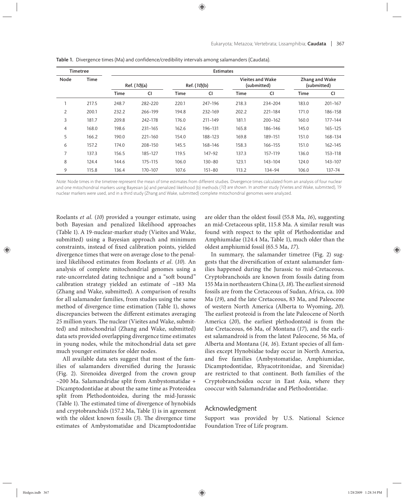| <b>Timetree</b> |       | <b>Estimates</b> |           |              |            |                                        |           |                                      |         |
|-----------------|-------|------------------|-----------|--------------|------------|----------------------------------------|-----------|--------------------------------------|---------|
| Node            | Time  | Ref. (10)(a)     |           | Ref. (10)(b) |            | <b>Vieites and Wake</b><br>(submitted) |           | <b>Zhang and Wake</b><br>(submitted) |         |
|                 |       | Time             | <b>CI</b> | <b>Time</b>  | CI         | <b>Time</b>                            | <b>CI</b> | <b>Time</b>                          | CI      |
|                 | 217.5 | 248.7            | 282-220   | 220.1        | 247-196    | 218.3                                  | 234-204   | 183.0                                | 201-167 |
| 2               | 200.1 | 232.2            | 266-199   | 194.8        | 232-169    | 202.2                                  | 221-184   | 171.0                                | 186-158 |
| 3               | 181.7 | 209.8            | 242-178   | 176.0        | 211-149    | 181.1                                  | 200-162   | 160.0                                | 177-144 |
| $\overline{4}$  | 168.0 | 198.6            | 231-165   | 162.6        | 196-131    | 165.8                                  | 186-146   | 145.0                                | 165-125 |
| 5               | 166.2 | 190.0            | 221-160   | 154.0        | 188-123    | 169.8                                  | 189-151   | 151.0                                | 168-134 |
| 6               | 157.2 | 174.0            | 208-150   | 145.5        | 168-146    | 158.3                                  | 166-155   | 151.0                                | 162-145 |
| $\overline{7}$  | 137.3 | 156.5            | 185-127   | 119.5        | 147-92     | 137.3                                  | 157-119   | 136.0                                | 153-118 |
| 8               | 124.4 | 144.6            | 175-115   | 106.0        | $130 - 80$ | 123.1                                  | 143-104   | 124.0                                | 143-107 |
| 9               | 115.8 | 136.4            | 170-107   | 107.6        | $151 - 80$ | 113.2                                  | 134-94    | 106.0                                | 137-74  |

Table 1. Divergence times (Ma) and confidence/credibility intervals among salamanders (Caudata).

Note: Node times in the timetree represent the mean of time estimates from different studies. Divergence times calculated from an analysis of four nuclear and one mitochondrial markers using Bayesian (a) and penalized likelihood (b) methods (10) are shown. In another study (Vieites and Wake, submitted), 19 nuclear markers were used, and in a third study (Zhang and Wake, submitted) complete mitochondrial genomes were analyzed.

Roelants *et al.* (10) provided a younger estimate, using both Bayesian and penalized likelihood approaches (Table 1). A 19-nuclear-marker study (Vieites and Wake, submitted) using a Bayesian approach and minimum constraints, instead of fixed calibration points, yielded divergence times that were on average close to the penalized likelihood estimates from Roelants *et al.* (*10*)*.* An analysis of complete mitochondrial genomes using a rate-uncorrelated dating technique and a "soft bound" calibration strategy yielded an estimate of ~183 Ma (Zhang and Wake, submitted). A comparison of results for all salamander families, from studies using the same method of divergence time estimation (Table 1), shows discrepancies between the different estimates averaging 25 million years. The nuclear (Vieites and Wake, submitted) and mitochondrial (Zhang and Wake, submitted) data sets provided overlapping divergence time estimates in young nodes, while the mitochondrial data set gave much younger estimates for older nodes.

All available data sets suggest that most of the families of salamanders diversified during the Jurassic (Fig. 2). Sirenoidea diverged from the crown group ~200 Ma. Salamandridae split from Ambystomatidae + Dicamptodontidae at about the same time as Proteoidea split from Plethodontoidea, during the mid-Jurassic (Table 1). The estimated time of divergence of hynobiids and cryptobranchids (157.2 Ma, Table 1) is in agreement with the oldest known fossils (3). The divergence time estimates of Ambystomatidae and Dicamptodontidae are older than the oldest fossil (55.8 Ma, *16*), suggesting an mid-Cretaceous split, 115.8 Ma. A similar result was found with respect to the split of Plethodontidae and Amphiumidae (124.4 Ma, Table 1), much older than the oldest amphiumid fossil (65.5 Ma, *17*).

In summary, the salamander timetree (Fig. 2) suggests that the diversification of extant salamander families happened during the Jurassic to mid-Cretaceous. Cryptobranchoids are known from fossils dating from 155 Ma in northeastern China (3, 18). The earliest sirenoid fossils are from the Cretaceous of Sudan, Africa, ca. 100 Ma (*19*), and the late Cretaceous, 83 Ma, and Paleocene of western North America (Alberta to Wyoming, *20*). The earliest proteoid is from the late Paleocene of North America (*20*), the earliest plethodontoid is from the late Cretaceous, 66 Ma, of Montana (*17*), and the earliest salamandroid is from the latest Paleocene, 56 Ma, of Alberta and Montana (*14, 16*). Extant species of all families except Hynobiidae today occur in North America, and five families (Ambystomatidae, Amphiumidae, Dicamptodontidae, Rhyacotritonidae, and Sirenidae) are restricted to that continent. Both families of the Cryptobranchoidea occur in East Asia, where they cooccur with Salamandridae and Plethodontidae.

#### Acknowledgment

Support was provided by U.S. National Science Foundation Tree of Life program.